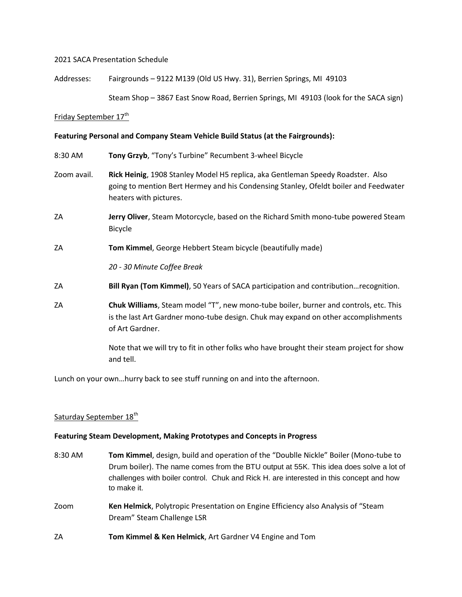## 2021 SACA Presentation Schedule

Addresses: Fairgrounds – 9122 M139 (Old US Hwy. 31), Berrien Springs, MI 49103

Steam Shop – 3867 East Snow Road, Berrien Springs, MI 49103 (look for the SACA sign)

### Friday September 17<sup>th</sup>

#### **Featuring Personal and Company Steam Vehicle Build Status (at the Fairgrounds):**

| 8:30 AM |  | Tony Grzyb, "Tony's Turbine" Recumbent 3-wheel Bicycle |  |  |
|---------|--|--------------------------------------------------------|--|--|
|---------|--|--------------------------------------------------------|--|--|

- Zoom avail. **Rick Heinig**, 1908 Stanley Model H5 replica, aka Gentleman Speedy Roadster. Also going to mention Bert Hermey and his Condensing Stanley, Ofeldt boiler and Feedwater heaters with pictures.
- ZA **Jerry Oliver**, Steam Motorcycle, based on the Richard Smith mono-tube powered Steam Bicycle
- ZA **Tom Kimmel**, George Hebbert Steam bicycle (beautifully made)

*20 - 30 Minute Coffee Break*

- ZA **Bill Ryan (Tom Kimmel)**, 50 Years of SACA participation and contribution…recognition.
- ZA **Chuk Williams**, Steam model "T", new mono-tube boiler, burner and controls, etc. This is the last Art Gardner mono-tube design. Chuk may expand on other accomplishments of Art Gardner.

Note that we will try to fit in other folks who have brought their steam project for show and tell.

Lunch on your own…hurry back to see stuff running on and into the afternoon.

## Saturday September 18<sup>th</sup>

### **Featuring Steam Development, Making Prototypes and Concepts in Progress**

- 8:30 AM **Tom Kimmel**, design, build and operation of the "Doublle Nickle" Boiler (Mono-tube to Drum boiler). The name comes from the BTU output at 55K. This idea does solve a lot of challenges with boiler control. Chuk and Rick H. are interested in this concept and how to make it.
- Zoom **Ken Helmick**, Polytropic Presentation on Engine Efficiency also Analysis of "Steam Dream" Steam Challenge LSR
- ZA **Tom Kimmel & Ken Helmick**, Art Gardner V4 Engine and Tom